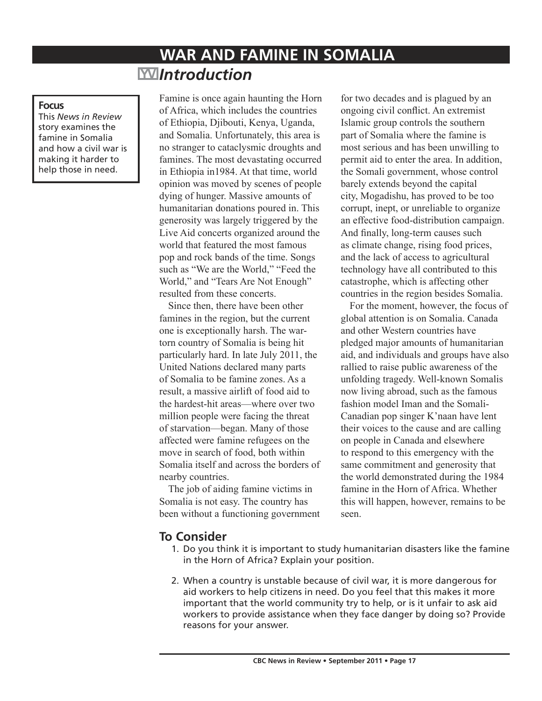# **WAR AND FAMINE IN SOMALIA** *Introduction*

#### **Focus**

This *News in Review* story examines the famine in Somalia and how a civil war is making it harder to help those in need.

Famine is once again haunting the Horn of Africa, which includes the countries of Ethiopia, Djibouti, Kenya, Uganda, and Somalia. Unfortunately, this area is no stranger to cataclysmic droughts and famines. The most devastating occurred in Ethiopia in1984. At that time, world opinion was moved by scenes of people dying of hunger. Massive amounts of humanitarian donations poured in. This generosity was largely triggered by the Live Aid concerts organized around the world that featured the most famous pop and rock bands of the time. Songs such as "We are the World," "Feed the World," and "Tears Are Not Enough" resulted from these concerts.

Since then, there have been other famines in the region, but the current one is exceptionally harsh. The wartorn country of Somalia is being hit particularly hard. In late July 2011, the United Nations declared many parts of Somalia to be famine zones. As a result, a massive airlift of food aid to the hardest-hit areas—where over two million people were facing the threat of starvation—began. Many of those affected were famine refugees on the move in search of food, both within Somalia itself and across the borders of nearby countries.

The job of aiding famine victims in Somalia is not easy. The country has been without a functioning government

for two decades and is plagued by an ongoing civil conflict. An extremist Islamic group controls the southern part of Somalia where the famine is most serious and has been unwilling to permit aid to enter the area. In addition, the Somali government, whose control barely extends beyond the capital city, Mogadishu, has proved to be too corrupt, inept, or unreliable to organize an effective food-distribution campaign. And finally, long-term causes such as climate change, rising food prices, and the lack of access to agricultural technology have all contributed to this catastrophe, which is affecting other countries in the region besides Somalia.

For the moment, however, the focus of global attention is on Somalia. Canada and other Western countries have pledged major amounts of humanitarian aid, and individuals and groups have also rallied to raise public awareness of the unfolding tragedy. Well-known Somalis now living abroad, such as the famous fashion model Iman and the Somali-Canadian pop singer K'naan have lent their voices to the cause and are calling on people in Canada and elsewhere to respond to this emergency with the same commitment and generosity that the world demonstrated during the 1984 famine in the Horn of Africa. Whether this will happen, however, remains to be seen.

## **To Consider**

- 1. Do you think it is important to study humanitarian disasters like the famine in the Horn of Africa? Explain your position.
- 2. When a country is unstable because of civil war, it is more dangerous for aid workers to help citizens in need. Do you feel that this makes it more important that the world community try to help, or is it unfair to ask aid workers to provide assistance when they face danger by doing so? Provide reasons for your answer.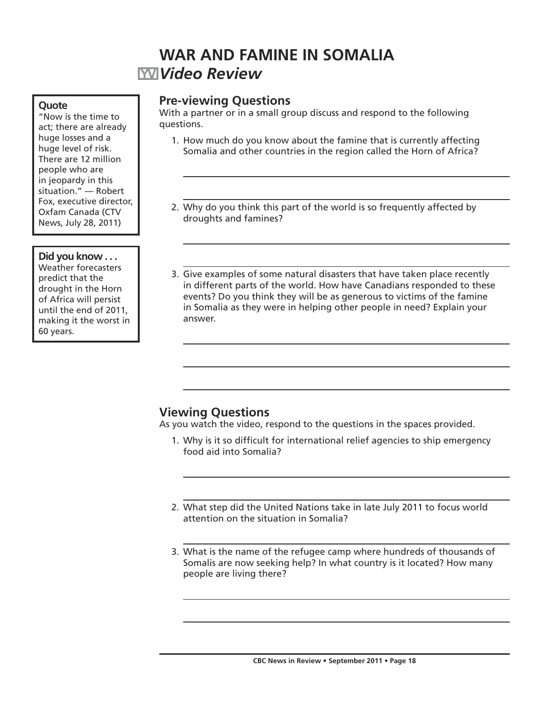## **WAR AND FAMINE IN SOMALIA** *Video Review*

#### **Quote**

"Now is the time to act; there are already huge losses and a huge level of risk. There are 12 million people who are in jeopardy in this situation." — Robert Fox, executive director, Oxfam Canada (CTV News, July 28, 2011)

#### **Did you know . . .**

Weather forecasters predict that the drought in the Horn of Africa will persist until the end of 2011, making it the worst in 60 years.

### **Pre-viewing Questions**

With a partner or in a small group discuss and respond to the following questions.

- 1. How much do you know about the famine that is currently affecting Somalia and other countries in the region called the Horn of Africa?
- 2. Why do you think this part of the world is so frequently affected by droughts and famines?
- 3. Give examples of some natural disasters that have taken place recently in different parts of the world. How have Canadians responded to these events? Do you think they will be as generous to victims of the famine in Somalia as they were in helping other people in need? Explain your answer.

## **Viewing Questions**

As you watch the video, respond to the questions in the spaces provided.

- 1. Why is it so difficult for international relief agencies to ship emergency food aid into Somalia?
- 2. What step did the United Nations take in late July 2011 to focus world attention on the situation in Somalia?
- 3. What is the name of the refugee camp where hundreds of thousands of Somalis are now seeking help? In what country is it located? How many people are living there?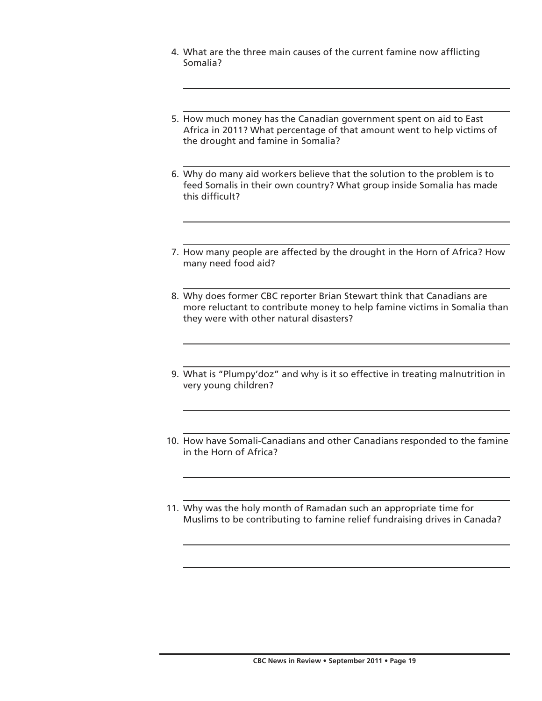- 4. What are the three main causes of the current famine now afflicting Somalia?
- 5. How much money has the Canadian government spent on aid to East Africa in 2011? What percentage of that amount went to help victims of the drought and famine in Somalia?
- 6. Why do many aid workers believe that the solution to the problem is to feed Somalis in their own country? What group inside Somalia has made this difficult?
- 7. How many people are affected by the drought in the Horn of Africa? How many need food aid?
- 8. Why does former CBC reporter Brian Stewart think that Canadians are more reluctant to contribute money to help famine victims in Somalia than they were with other natural disasters?
- 9. What is "Plumpy'doz" and why is it so effective in treating malnutrition in very young children?
- 10. How have Somali-Canadians and other Canadians responded to the famine in the Horn of Africa?
- 11. Why was the holy month of Ramadan such an appropriate time for Muslims to be contributing to famine relief fundraising drives in Canada?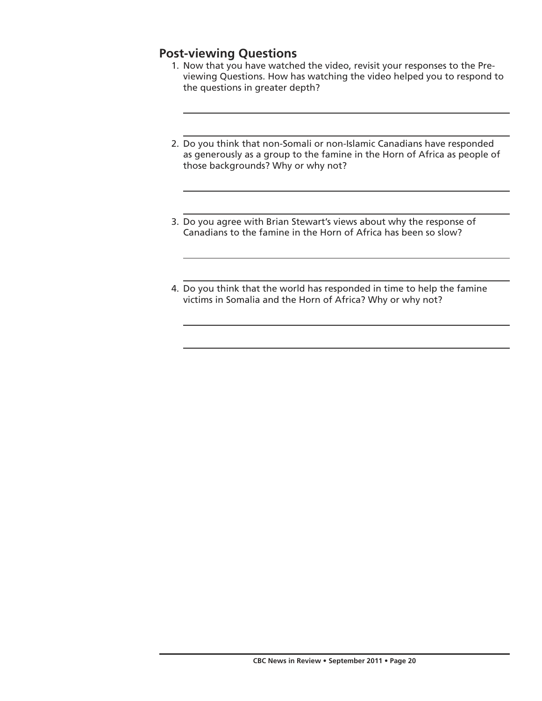## **Post-viewing Questions**

- 1. Now that you have watched the video, revisit your responses to the Previewing Questions. How has watching the video helped you to respond to the questions in greater depth?
- 2. Do you think that non-Somali or non-Islamic Canadians have responded as generously as a group to the famine in the Horn of Africa as people of those backgrounds? Why or why not?
- 3. Do you agree with Brian Stewart's views about why the response of Canadians to the famine in the Horn of Africa has been so slow?
- 4. Do you think that the world has responded in time to help the famine victims in Somalia and the Horn of Africa? Why or why not?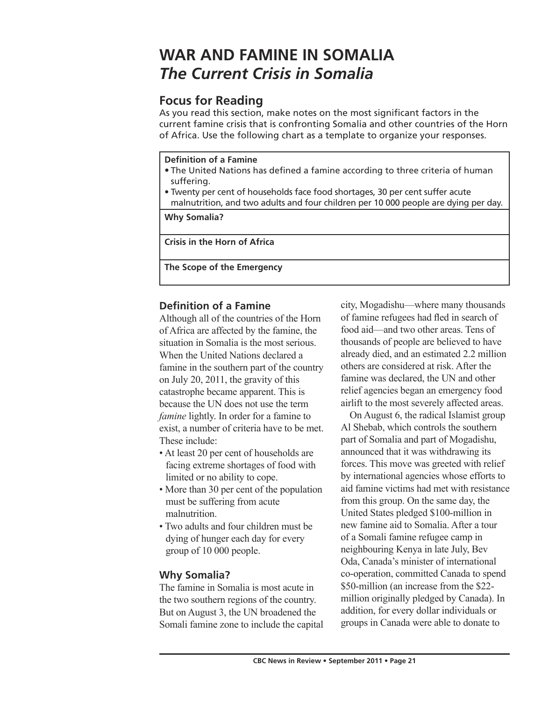# **WAR AND FAMINE IN SOMALIA** *The Current Crisis in Somalia*

## **Focus for Reading**

As you read this section, make notes on the most significant factors in the current famine crisis that is confronting Somalia and other countries of the Horn of Africa. Use the following chart as a template to organize your responses.

#### **Definition of a Famine**

- The United Nations has defined a famine according to three criteria of human suffering.
- Twenty per cent of households face food shortages, 30 per cent suffer acute malnutrition, and two adults and four children per 10 000 people are dying per day.

**Why Somalia?**

**Crisis in the Horn of Africa**

**The Scope of the Emergency**

## **Definition of a Famine**

Although all of the countries of the Horn of Africa are affected by the famine, the situation in Somalia is the most serious. When the United Nations declared a famine in the southern part of the country on July 20, 2011, the gravity of this catastrophe became apparent. This is because the UN does not use the term *famine* lightly. In order for a famine to exist, a number of criteria have to be met. These include:

- At least 20 per cent of households are facing extreme shortages of food with limited or no ability to cope.
- More than 30 per cent of the population must be suffering from acute malnutrition.
- Two adults and four children must be dying of hunger each day for every group of 10 000 people.

### **Why Somalia?**

The famine in Somalia is most acute in the two southern regions of the country. But on August 3, the UN broadened the Somali famine zone to include the capital

city, Mogadishu—where many thousands of famine refugees had fled in search of food aid—and two other areas. Tens of thousands of people are believed to have already died, and an estimated 2.2 million others are considered at risk. After the famine was declared, the UN and other relief agencies began an emergency food airlift to the most severely affected areas.

On August 6, the radical Islamist group Al Shebab, which controls the southern part of Somalia and part of Mogadishu, announced that it was withdrawing its forces. This move was greeted with relief by international agencies whose efforts to aid famine victims had met with resistance from this group. On the same day, the United States pledged \$100-million in new famine aid to Somalia. After a tour of a Somali famine refugee camp in neighbouring Kenya in late July, Bev Oda, Canada's minister of international co-operation, committed Canada to spend \$50-million (an increase from the \$22 million originally pledged by Canada). In addition, for every dollar individuals or groups in Canada were able to donate to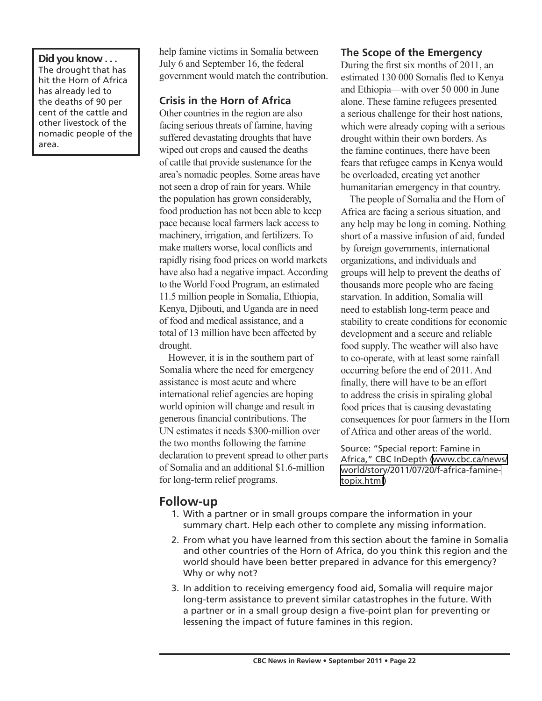#### **Did you know . . .** The drought that has hit the Horn of Africa has already led to the deaths of 90 per cent of the cattle and other livestock of the nomadic people of the area.

help famine victims in Somalia between July 6 and September 16, the federal government would match the contribution.

## **Crisis in the Horn of Africa**

Other countries in the region are also facing serious threats of famine, having suffered devastating droughts that have wiped out crops and caused the deaths of cattle that provide sustenance for the area's nomadic peoples. Some areas have not seen a drop of rain for years. While the population has grown considerably, food production has not been able to keep pace because local farmers lack access to machinery, irrigation, and fertilizers. To make matters worse, local conflicts and rapidly rising food prices on world markets have also had a negative impact. According to the World Food Program, an estimated 11.5 million people in Somalia, Ethiopia, Kenya, Djibouti, and Uganda are in need of food and medical assistance, and a total of 13 million have been affected by drought.

However, it is in the southern part of Somalia where the need for emergency assistance is most acute and where international relief agencies are hoping world opinion will change and result in generous financial contributions. The UN estimates it needs \$300-million over the two months following the famine declaration to prevent spread to other parts of Somalia and an additional \$1.6-million for long-term relief programs.

#### **The Scope of the Emergency**

During the first six months of 2011, an estimated 130 000 Somalis fled to Kenya and Ethiopia—with over 50 000 in June alone. These famine refugees presented a serious challenge for their host nations, which were already coping with a serious drought within their own borders. As the famine continues, there have been fears that refugee camps in Kenya would be overloaded, creating yet another humanitarian emergency in that country.

The people of Somalia and the Horn of Africa are facing a serious situation, and any help may be long in coming. Nothing short of a massive infusion of aid, funded by foreign governments, international organizations, and individuals and groups will help to prevent the deaths of thousands more people who are facing starvation. In addition, Somalia will need to establish long-term peace and stability to create conditions for economic development and a secure and reliable food supply. The weather will also have to co-operate, with at least some rainfall occurring before the end of 2011. And finally, there will have to be an effort to address the crisis in spiraling global food prices that is causing devastating consequences for poor farmers in the Horn of Africa and other areas of the world.

Source: "Special report: Famine in Africa," CBC InDepth ([www.cbc.ca/news/](http://www.cbc.ca/news/world/story/2011/07/20/f-africa-famine-topix.html) [world/story/2011/07/20/f-africa-famine](http://www.cbc.ca/news/world/story/2011/07/20/f-africa-famine-topix.html)[topix.html](http://www.cbc.ca/news/world/story/2011/07/20/f-africa-famine-topix.html))

### **Follow-up**

- 1. With a partner or in small groups compare the information in your summary chart. Help each other to complete any missing information.
- 2. From what you have learned from this section about the famine in Somalia and other countries of the Horn of Africa, do you think this region and the world should have been better prepared in advance for this emergency? Why or why not?
- 3. In addition to receiving emergency food aid, Somalia will require major long-term assistance to prevent similar catastrophes in the future. With a partner or in a small group design a five-point plan for preventing or lessening the impact of future famines in this region.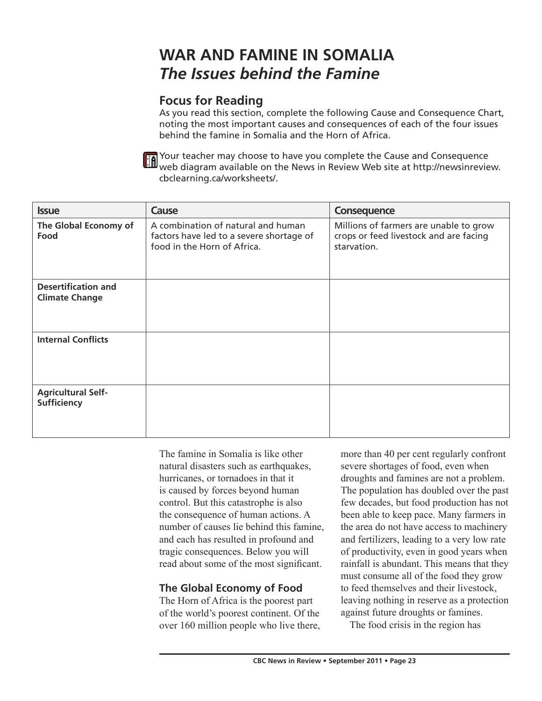# **WAR AND FAMINE IN SOMALIA** *The Issues behind the Famine*

## **Focus for Reading**

As you read this section, complete the following Cause and Consequence Chart, noting the most important causes and consequences of each of the four issues behind the famine in Somalia and the Horn of Africa.



Your teacher may choose to have you complete the Cause and Consequence web diagram available on the News in Review Web site at http://newsinreview. cbclearning.ca/worksheets/.

| <b>Issue</b>                                        | Cause                                                                                                         | Consequence                                                                                     |
|-----------------------------------------------------|---------------------------------------------------------------------------------------------------------------|-------------------------------------------------------------------------------------------------|
| The Global Economy of<br>Food                       | A combination of natural and human<br>factors have led to a severe shortage of<br>food in the Horn of Africa. | Millions of farmers are unable to grow<br>crops or feed livestock and are facing<br>starvation. |
| <b>Desertification and</b><br><b>Climate Change</b> |                                                                                                               |                                                                                                 |
| <b>Internal Conflicts</b>                           |                                                                                                               |                                                                                                 |
| <b>Agricultural Self-</b><br><b>Sufficiency</b>     |                                                                                                               |                                                                                                 |

The famine in Somalia is like other natural disasters such as earthquakes, hurricanes, or tornadoes in that it is caused by forces beyond human control. But this catastrophe is also the consequence of human actions. A number of causes lie behind this famine, and each has resulted in profound and tragic consequences. Below you will read about some of the most significant.

## **The Global Economy of Food**

The Horn of Africa is the poorest part of the world's poorest continent. Of the over 160 million people who live there, more than 40 per cent regularly confront severe shortages of food, even when droughts and famines are not a problem. The population has doubled over the past few decades, but food production has not been able to keep pace. Many farmers in the area do not have access to machinery and fertilizers, leading to a very low rate of productivity, even in good years when rainfall is abundant. This means that they must consume all of the food they grow to feed themselves and their livestock, leaving nothing in reserve as a protection against future droughts or famines.

The food crisis in the region has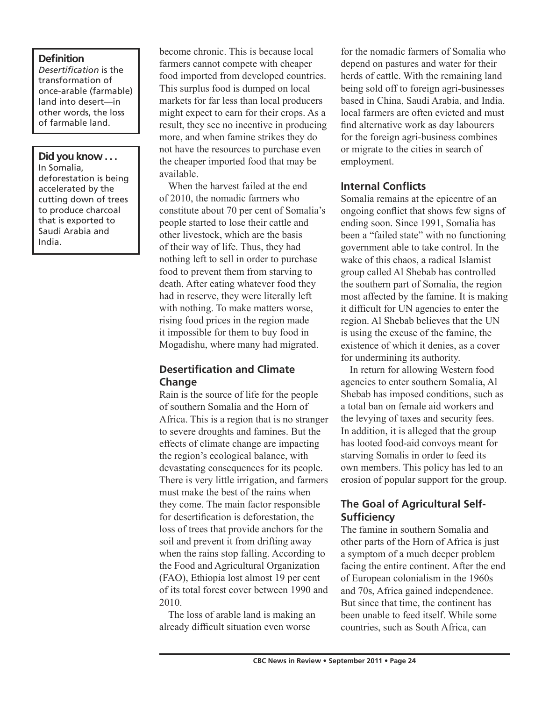#### **Definition**

*Desertification* is the transformation of once-arable (farmable) land into desert—in other words, the loss of farmable land.

#### **Did you know . . .**

In Somalia, deforestation is being accelerated by the cutting down of trees to produce charcoal that is exported to Saudi Arabia and India.

become chronic. This is because local farmers cannot compete with cheaper food imported from developed countries. This surplus food is dumped on local markets for far less than local producers might expect to earn for their crops. As a result, they see no incentive in producing more, and when famine strikes they do not have the resources to purchase even the cheaper imported food that may be available.

When the harvest failed at the end of 2010, the nomadic farmers who constitute about 70 per cent of Somalia's people started to lose their cattle and other livestock, which are the basis of their way of life. Thus, they had nothing left to sell in order to purchase food to prevent them from starving to death. After eating whatever food they had in reserve, they were literally left with nothing. To make matters worse, rising food prices in the region made it impossible for them to buy food in Mogadishu, where many had migrated.

#### **Desertification and Climate Change**

Rain is the source of life for the people of southern Somalia and the Horn of Africa. This is a region that is no stranger to severe droughts and famines. But the effects of climate change are impacting the region's ecological balance, with devastating consequences for its people. There is very little irrigation, and farmers must make the best of the rains when they come. The main factor responsible for desertification is deforestation, the loss of trees that provide anchors for the soil and prevent it from drifting away when the rains stop falling. According to the Food and Agricultural Organization (FAO), Ethiopia lost almost 19 per cent of its total forest cover between 1990 and 2010.

The loss of arable land is making an already difficult situation even worse

for the nomadic farmers of Somalia who depend on pastures and water for their herds of cattle. With the remaining land being sold off to foreign agri-businesses based in China, Saudi Arabia, and India. local farmers are often evicted and must find alternative work as day labourers for the foreign agri-business combines or migrate to the cities in search of employment.

### **Internal Conflicts**

Somalia remains at the epicentre of an ongoing conflict that shows few signs of ending soon. Since 1991, Somalia has been a "failed state" with no functioning government able to take control. In the wake of this chaos, a radical Islamist group called Al Shebab has controlled the southern part of Somalia, the region most affected by the famine. It is making it difficult for UN agencies to enter the region. Al Shebab believes that the UN is using the excuse of the famine, the existence of which it denies, as a cover for undermining its authority.

In return for allowing Western food agencies to enter southern Somalia, Al Shebab has imposed conditions, such as a total ban on female aid workers and the levying of taxes and security fees. In addition, it is alleged that the group has looted food-aid convoys meant for starving Somalis in order to feed its own members. This policy has led to an erosion of popular support for the group.

### **The Goal of Agricultural Self-Sufficiency**

The famine in southern Somalia and other parts of the Horn of Africa is just a symptom of a much deeper problem facing the entire continent. After the end of European colonialism in the 1960s and 70s, Africa gained independence. But since that time, the continent has been unable to feed itself. While some countries, such as South Africa, can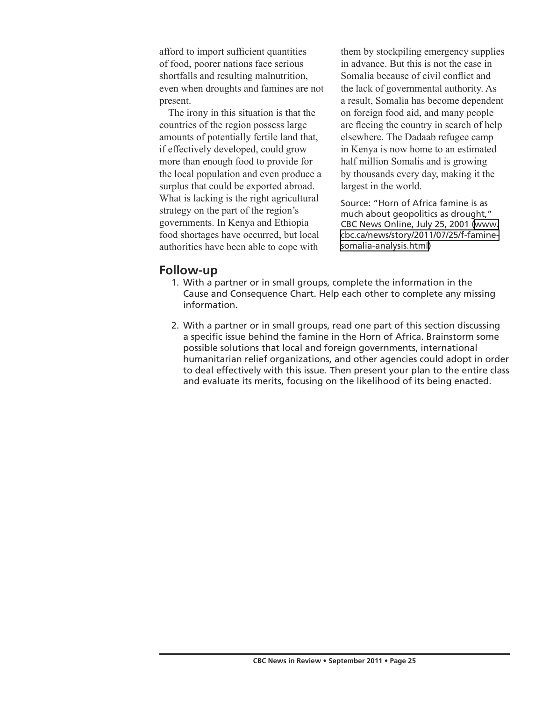afford to import sufficient quantities of food, poorer nations face serious shortfalls and resulting malnutrition, even when droughts and famines are not present.

The irony in this situation is that the countries of the region possess large amounts of potentially fertile land that, if effectively developed, could grow more than enough food to provide for the local population and even produce a surplus that could be exported abroad. What is lacking is the right agricultural strategy on the part of the region's governments. In Kenya and Ethiopia food shortages have occurred, but local authorities have been able to cope with

them by stockpiling emergency supplies in advance. But this is not the case in Somalia because of civil conflict and the lack of governmental authority. As a result, Somalia has become dependent on foreign food aid, and many people are fleeing the country in search of help elsewhere. The Dadaab refugee camp in Kenya is now home to an estimated half million Somalis and is growing by thousands every day, making it the largest in the world.

Source: "Horn of Africa famine is as much about geopolitics as drought," CBC News Online, July 25, 2001 [\(www.](http://www.cbc.ca/news/story/2011/07/25/f-famine-somalia-analysis.html) [cbc.ca/news/story/2011/07/25/f-famine](http://www.cbc.ca/news/story/2011/07/25/f-famine-somalia-analysis.html)[somalia-analysis.html](http://www.cbc.ca/news/story/2011/07/25/f-famine-somalia-analysis.html))

#### **Follow-up**

- 1. With a partner or in small groups, complete the information in the Cause and Consequence Chart. Help each other to complete any missing information.
- 2. With a partner or in small groups, read one part of this section discussing a specific issue behind the famine in the Horn of Africa. Brainstorm some possible solutions that local and foreign governments, international humanitarian relief organizations, and other agencies could adopt in order to deal effectively with this issue. Then present your plan to the entire class and evaluate its merits, focusing on the likelihood of its being enacted.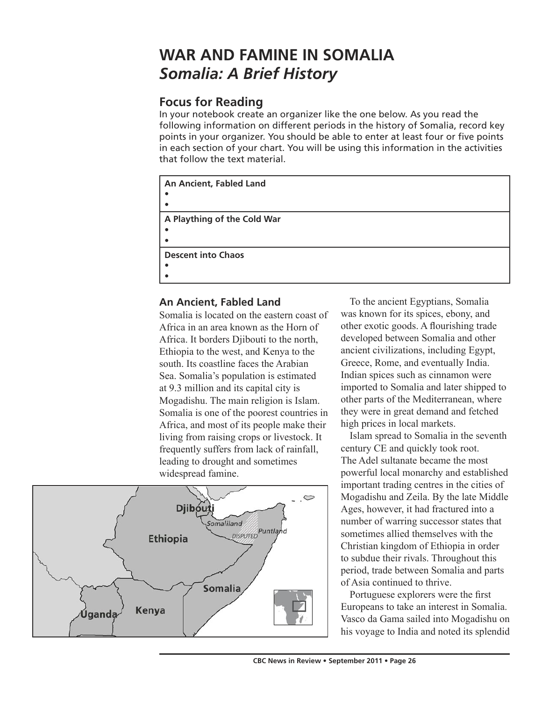## **WAR AND FAMINE IN SOMALIA** *Somalia: A Brief History*

## **Focus for Reading**

In your notebook create an organizer like the one below. As you read the following information on different periods in the history of Somalia, record key points in your organizer. You should be able to enter at least four or five points in each section of your chart. You will be using this information in the activities that follow the text material.

```
An Ancient, Fabled Land
• 
• 
A Plaything of the Cold War
• 
• 
Descent into Chaos
• 
•
```
### **An Ancient, Fabled Land**

Somalia is located on the eastern coast of Africa in an area known as the Horn of Africa. It borders Djibouti to the north, Ethiopia to the west, and Kenya to the south. Its coastline faces the Arabian Sea. Somalia's population is estimated at 9.3 million and its capital city is Mogadishu. The main religion is Islam. Somalia is one of the poorest countries in Africa, and most of its people make their living from raising crops or livestock. It frequently suffers from lack of rainfall, leading to drought and sometimes widespread famine.



To the ancient Egyptians, Somalia was known for its spices, ebony, and other exotic goods. A flourishing trade developed between Somalia and other ancient civilizations, including Egypt, Greece, Rome, and eventually India. Indian spices such as cinnamon were imported to Somalia and later shipped to other parts of the Mediterranean, where they were in great demand and fetched high prices in local markets.

Islam spread to Somalia in the seventh century CE and quickly took root. The Adel sultanate became the most powerful local monarchy and established important trading centres in the cities of Mogadishu and Zeila. By the late Middle Ages, however, it had fractured into a number of warring successor states that sometimes allied themselves with the Christian kingdom of Ethiopia in order to subdue their rivals. Throughout this period, trade between Somalia and parts of Asia continued to thrive.

Portuguese explorers were the first Europeans to take an interest in Somalia. Vasco da Gama sailed into Mogadishu on his voyage to India and noted its splendid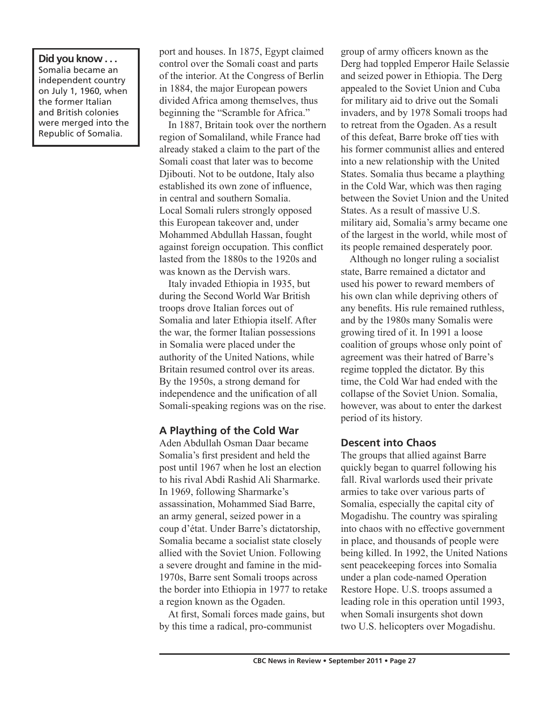**Did you know . . .** Somalia became an independent country on July 1, 1960, when the former Italian and British colonies were merged into the Republic of Somalia.

port and houses. In 1875, Egypt claimed control over the Somali coast and parts of the interior. At the Congress of Berlin in 1884, the major European powers divided Africa among themselves, thus beginning the "Scramble for Africa."

In 1887, Britain took over the northern region of Somaliland, while France had already staked a claim to the part of the Somali coast that later was to become Djibouti. Not to be outdone, Italy also established its own zone of influence, in central and southern Somalia. Local Somali rulers strongly opposed this European takeover and, under Mohammed Abdullah Hassan, fought against foreign occupation. This conflict lasted from the 1880s to the 1920s and was known as the Dervish wars.

Italy invaded Ethiopia in 1935, but during the Second World War British troops drove Italian forces out of Somalia and later Ethiopia itself. After the war, the former Italian possessions in Somalia were placed under the authority of the United Nations, while Britain resumed control over its areas. By the 1950s, a strong demand for independence and the unification of all Somali-speaking regions was on the rise.

#### **A Plaything of the Cold War**

Aden Abdullah Osman Daar became Somalia's first president and held the post until 1967 when he lost an election to his rival Abdi Rashid Ali Sharmarke. In 1969, following Sharmarke's assassination, Mohammed Siad Barre, an army general, seized power in a coup d'état. Under Barre's dictatorship, Somalia became a socialist state closely allied with the Soviet Union. Following a severe drought and famine in the mid-1970s, Barre sent Somali troops across the border into Ethiopia in 1977 to retake a region known as the Ogaden.

At first, Somali forces made gains, but by this time a radical, pro-communist

group of army officers known as the Derg had toppled Emperor Haile Selassie and seized power in Ethiopia. The Derg appealed to the Soviet Union and Cuba for military aid to drive out the Somali invaders, and by 1978 Somali troops had to retreat from the Ogaden. As a result of this defeat, Barre broke off ties with his former communist allies and entered into a new relationship with the United States. Somalia thus became a plaything in the Cold War, which was then raging between the Soviet Union and the United States. As a result of massive U.S. military aid, Somalia's army became one of the largest in the world, while most of its people remained desperately poor.

Although no longer ruling a socialist state, Barre remained a dictator and used his power to reward members of his own clan while depriving others of any benefits. His rule remained ruthless, and by the 1980s many Somalis were growing tired of it. In 1991 a loose coalition of groups whose only point of agreement was their hatred of Barre's regime toppled the dictator. By this time, the Cold War had ended with the collapse of the Soviet Union. Somalia, however, was about to enter the darkest period of its history.

#### **Descent into Chaos**

The groups that allied against Barre quickly began to quarrel following his fall. Rival warlords used their private armies to take over various parts of Somalia, especially the capital city of Mogadishu. The country was spiraling into chaos with no effective government in place, and thousands of people were being killed. In 1992, the United Nations sent peacekeeping forces into Somalia under a plan code-named Operation Restore Hope. U.S. troops assumed a leading role in this operation until 1993, when Somali insurgents shot down two U.S. helicopters over Mogadishu.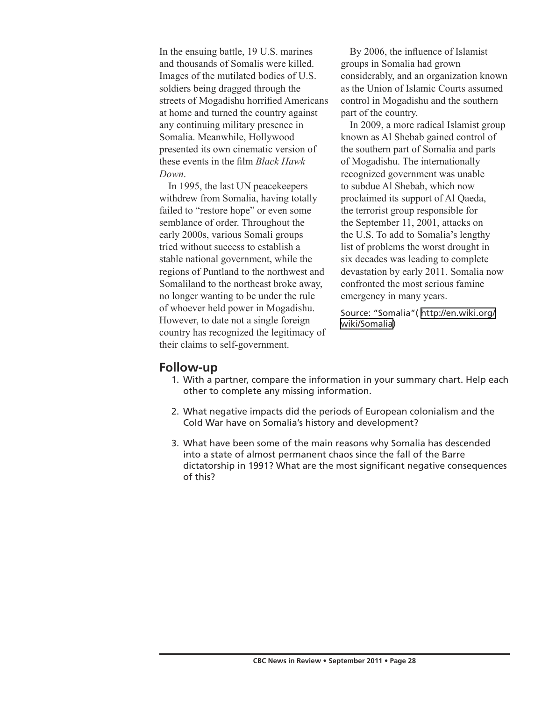In the ensuing battle, 19 U.S. marines and thousands of Somalis were killed. Images of the mutilated bodies of U.S. soldiers being dragged through the streets of Mogadishu horrified Americans at home and turned the country against any continuing military presence in Somalia. Meanwhile, Hollywood presented its own cinematic version of these events in the film *Black Hawk Down*.

In 1995, the last UN peacekeepers withdrew from Somalia, having totally failed to "restore hope" or even some semblance of order. Throughout the early 2000s, various Somali groups tried without success to establish a stable national government, while the regions of Puntland to the northwest and Somaliland to the northeast broke away, no longer wanting to be under the rule of whoever held power in Mogadishu. However, to date not a single foreign country has recognized the legitimacy of their claims to self-government.

By 2006, the influence of Islamist groups in Somalia had grown considerably, and an organization known as the Union of Islamic Courts assumed control in Mogadishu and the southern part of the country.

In 2009, a more radical Islamist group known as Al Shebab gained control of the southern part of Somalia and parts of Mogadishu. The internationally recognized government was unable to subdue Al Shebab, which now proclaimed its support of Al Qaeda, the terrorist group responsible for the September 11, 2001, attacks on the U.S. To add to Somalia's lengthy list of problems the worst drought in six decades was leading to complete devastation by early 2011. Somalia now confronted the most serious famine emergency in many years.

Source: "Somalia"( [http://en.wiki.org/](http://en.wiki.org/wiki/Somalia) [wiki/Somalia](http://en.wiki.org/wiki/Somalia))

#### **Follow-up**

- 1. With a partner, compare the information in your summary chart. Help each other to complete any missing information.
- 2. What negative impacts did the periods of European colonialism and the Cold War have on Somalia's history and development?
- 3. What have been some of the main reasons why Somalia has descended into a state of almost permanent chaos since the fall of the Barre dictatorship in 1991? What are the most significant negative consequences of this?